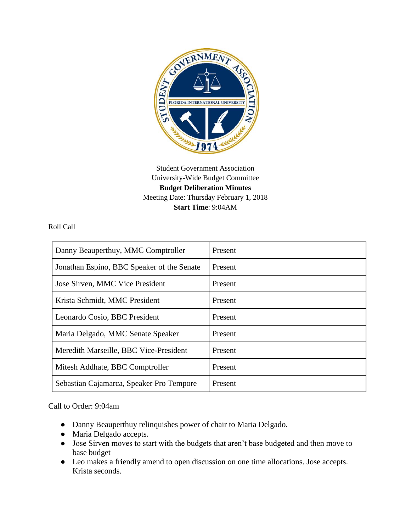

Student Government Association University-Wide Budget Committee **Budget Deliberation Minutes** Meeting Date: Thursday February 1, 2018 **Start Time**: 9:04AM

Roll Call

| Danny Beauperthuy, MMC Comptroller         | Present |
|--------------------------------------------|---------|
| Jonathan Espino, BBC Speaker of the Senate | Present |
| Jose Sirven, MMC Vice President            | Present |
| Krista Schmidt, MMC President              | Present |
| Leonardo Cosio, BBC President              | Present |
| Maria Delgado, MMC Senate Speaker          | Present |
| Meredith Marseille, BBC Vice-President     | Present |
| Mitesh Addhate, BBC Comptroller            | Present |
| Sebastian Cajamarca, Speaker Pro Tempore   | Present |

Call to Order: 9:04am

- Danny Beauperthuy relinquishes power of chair to Maria Delgado.
- Maria Delgado accepts.
- Jose Sirven moves to start with the budgets that aren't base budgeted and then move to base budget
- Leo makes a friendly amend to open discussion on one time allocations. Jose accepts. Krista seconds.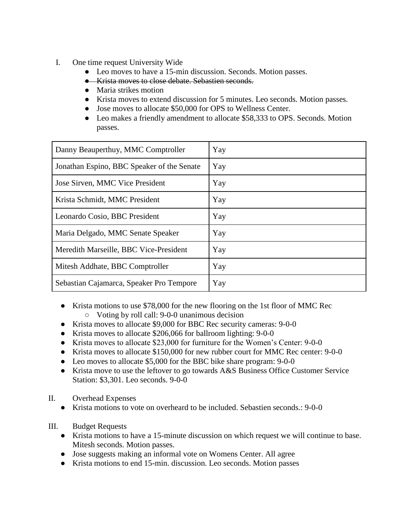- I. One time request University Wide
	- Leo moves to have a 15-min discussion. Seconds. Motion passes.
	- Krista moves to close debate. Sebastien seconds.
	- Maria strikes motion
	- Krista moves to extend discussion for 5 minutes. Leo seconds. Motion passes.
	- Jose moves to allocate \$50,000 for OPS to Wellness Center.
	- Leo makes a friendly amendment to allocate \$58,333 to OPS. Seconds. Motion passes.

| Danny Beauperthuy, MMC Comptroller         | Yay |
|--------------------------------------------|-----|
| Jonathan Espino, BBC Speaker of the Senate | Yay |
| Jose Sirven, MMC Vice President            | Yay |
| Krista Schmidt, MMC President              | Yay |
| Leonardo Cosio, BBC President              | Yay |
| Maria Delgado, MMC Senate Speaker          | Yay |
| Meredith Marseille, BBC Vice-President     | Yay |
| Mitesh Addhate, BBC Comptroller            | Yay |
| Sebastian Cajamarca, Speaker Pro Tempore   | Yay |

- Krista motions to use \$78,000 for the new flooring on the 1st floor of MMC Rec ○ Voting by roll call: 9-0-0 unanimous decision
- Krista moves to allocate \$9,000 for BBC Rec security cameras: 9-0-0
- Krista moves to allocate \$206,066 for ballroom lighting: 9-0-0
- Krista moves to allocate \$23,000 for furniture for the Women's Center: 9-0-0
- Krista moves to allocate \$150,000 for new rubber court for MMC Rec center: 9-0-0
- Leo moves to allocate \$5,000 for the BBC bike share program: 9-0-0
- Krista move to use the leftover to go towards A&S Business Office Customer Service Station: \$3,301. Leo seconds. 9-0-0
- II. Overhead Expenses
	- Krista motions to vote on overheard to be included. Sebastien seconds.: 9-0-0
- III. Budget Requests
	- Krista motions to have a 15-minute discussion on which request we will continue to base. Mitesh seconds. Motion passes.
	- Jose suggests making an informal vote on Womens Center. All agree
	- Krista motions to end 15-min. discussion. Leo seconds. Motion passes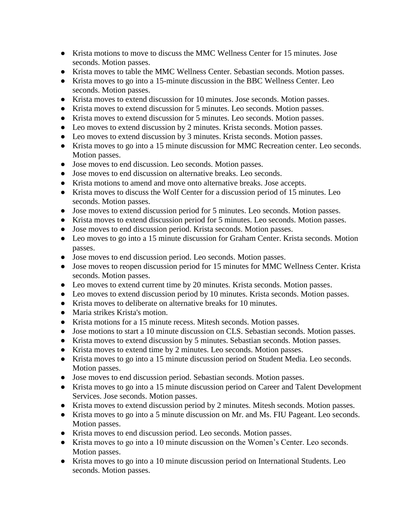- Krista motions to move to discuss the MMC Wellness Center for 15 minutes. Jose seconds. Motion passes.
- Krista moves to table the MMC Wellness Center. Sebastian seconds. Motion passes.
- Krista moves to go into a 15-minute discussion in the BBC Wellness Center. Leo seconds. Motion passes.
- Krista moves to extend discussion for 10 minutes. Jose seconds. Motion passes.
- Krista moves to extend discussion for 5 minutes. Leo seconds. Motion passes.
- Krista moves to extend discussion for 5 minutes. Leo seconds. Motion passes.
- Leo moves to extend discussion by 2 minutes. Krista seconds. Motion passes.
- Leo moves to extend discussion by 3 minutes. Krista seconds. Motion passes.
- Krista moves to go into a 15 minute discussion for MMC Recreation center. Leo seconds. Motion passes.
- Jose moves to end discussion. Leo seconds. Motion passes.
- Jose moves to end discussion on alternative breaks. Leo seconds.
- Krista motions to amend and move onto alternative breaks. Jose accepts.
- Krista moves to discuss the Wolf Center for a discussion period of 15 minutes. Leo seconds. Motion passes.
- Jose moves to extend discussion period for 5 minutes. Leo seconds. Motion passes.
- Krista moves to extend discussion period for 5 minutes. Leo seconds. Motion passes.
- Jose moves to end discussion period. Krista seconds. Motion passes.
- Leo moves to go into a 15 minute discussion for Graham Center. Krista seconds. Motion passes.
- Jose moves to end discussion period. Leo seconds. Motion passes.
- Jose moves to reopen discussion period for 15 minutes for MMC Wellness Center. Krista seconds. Motion passes.
- Leo moves to extend current time by 20 minutes. Krista seconds. Motion passes.
- Leo moves to extend discussion period by 10 minutes. Krista seconds. Motion passes.
- Krista moves to deliberate on alternative breaks for 10 minutes.
- Maria strikes Krista's motion.
- Krista motions for a 15 minute recess. Mitesh seconds. Motion passes.
- Jose motions to start a 10 minute discussion on CLS. Sebastian seconds. Motion passes.
- Krista moves to extend discussion by 5 minutes. Sebastian seconds. Motion passes.
- Krista moves to extend time by 2 minutes. Leo seconds. Motion passes.
- Krista moves to go into a 15 minute discussion period on Student Media. Leo seconds. Motion passes.
- Jose moves to end discussion period. Sebastian seconds. Motion passes.
- Krista moves to go into a 15 minute discussion period on Career and Talent Development Services. Jose seconds. Motion passes.
- Krista moves to extend discussion period by 2 minutes. Mitesh seconds. Motion passes.
- Krista moves to go into a 5 minute discussion on Mr. and Ms. FIU Pageant. Leo seconds. Motion passes.
- Krista moves to end discussion period. Leo seconds. Motion passes.
- Krista moves to go into a 10 minute discussion on the Women's Center. Leo seconds. Motion passes.
- Krista moves to go into a 10 minute discussion period on International Students. Leo seconds. Motion passes.